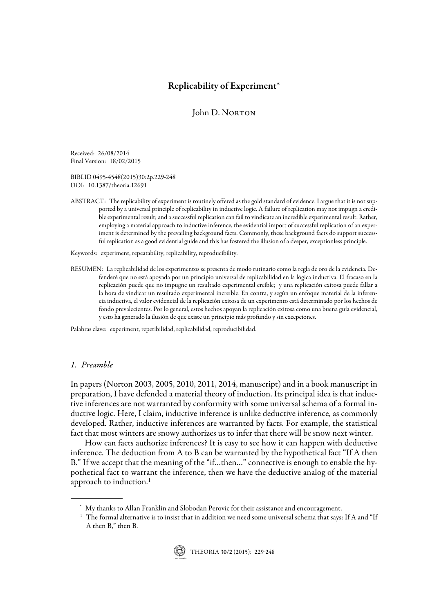# Replicability of Experiment\*

# John D. NORTON

Received: 26/08/2014 Final Version: 18/02/2015

BIBLID 0495-4548(2015)30:2p.229-248 DOI: 10.1387/theoria.12691

ABSTRACT: The replicability of experiment is routinely offered as the gold standard of evidence. I argue that it is not supported by a universal principle of replicability in inductive logic. A failure of replication may not impugn a credible experimental result; and a successful replication can fail to vindicate an incredible experimental result. Rather, employing a material approach to inductive inference, the evidential import of successful replication of an experiment is determined by the prevailing background facts. Commonly, these background facts do support successful replication as a good evidential guide and this has fostered the illusion of a deeper, exceptionless principle.

Keywords: experiment, repeatability, replicability, reproducibility.

RESUMEN: La replicabilidad de los experimentos se presenta de modo rutinario como la regla de oro de la evidencia. Defenderé que no está apoyada por un principio universal de replicabilidad en la lógica inductiva. El fracaso en la replicación puede que no impugne un resultado experimental creíble; y una replicación exitosa puede fallar a la hora de vindicar un resultado experimental increíble. En contra, y según un enfoque material de la inferencia inductiva, el valor evidencial de la replicación exitosa de un experimento está determinado por los hechos de fondo prevalecientes. Por lo general, estos hechos apoyan la replicación exitosa como una buena guía evidencial, y esto ha generado la ilusión de que existe un principio más profundo y sin excepciones.

Palabras clave: experiment, repetibilidad, replicabilidad, reproducibilidad.

#### 1. Preamble

In papers (Norton 2003, 2005, 2010, 2011, 2014, manuscript) and in a book manuscript in preparation, I have defended a material theory of induction. Its principal idea is that inductive inferences are not warranted by conformity with some universal schema of a formal inductive logic. Here, I claim, inductive inference is unlike deductive inference, as commonly developed. Rather, inductive inferences are warranted by facts. For example, the statistical fact that most winters are snowy authorizes us to infer that there will be snow next winter.

How can facts authorize inferences? It is easy to see how it can happen with deductive inference. The deduction from A to B can be warranted by the hypothetical fact "If A then B." If we accept that the meaning of the "if…then…" connective is enough to enable the hypothetical fact to warrant the inference, then we have the deductive analog of the material approach to induction.<sup>1</sup>

 $^1\,$  The formal alternative is to insist that in addition we need some universal schema that says: If A and "If A then B," then B.



<sup>\*</sup> My thanks to Allan Franklin and Slobodan Perovic for their assistance and encouragement.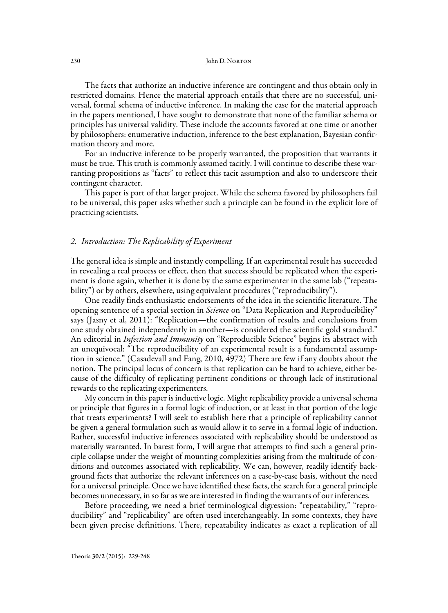The facts that authorize an inductive inference are contingent and thus obtain only in restricted domains. Hence the material approach entails that there are no successful, universal, formal schema of inductive inference. In making the case for the material approach in the papers mentioned, I have sought to demonstrate that none of the familiar schema or principles has universal validity. These include the accounts favored at one time or another by philosophers: enumerative induction, inference to the best explanation, Bayesian confirmation theory and more.

For an inductive inference to be properly warranted, the proposition that warrants it must be true. This truth is commonly assumed tacitly. I will continue to describe these warranting propositions as "facts" to reflect this tacit assumption and also to underscore their contingent character.

This paper is part of that larger project. While the schema favored by philosophers fail to be universal, this paper asks whether such a principle can be found in the explicit lore of practicing scientists.

#### 2. Introduction: The Replicability of Experiment

The general idea is simple and instantly compelling. If an experimental result has succeeded in revealing a real process or effect, then that success should be replicated when the experiment is done again, whether it is done by the same experimenter in the same lab ("repeatability") or by others, elsewhere, using equivalent procedures ("reproducibility").

One readily finds enthusiastic endorsements of the idea in the scientific literature. The opening sentence of a special section in *Science* on "Data Replication and Reproducibility" says (Jasny et al, 2011): "Replication—the confirmation of results and conclusions from one study obtained independently in another—is considered the scientific gold standard." An editorial in *Infection and Immunity* on "Reproducible Science" begins its abstract with an unequivocal: "The reproducibility of an experimental result is a fundamental assumption in science." (Casadevall and Fang, 2010, 4972) There are few if any doubts about the notion. The principal locus of concern is that replication can be hard to achieve, either because of the difficulty of replicating pertinent conditions or through lack of institutional rewards to the replicating experimenters.

My concern in this paper is inductive logic. Might replicability provide a universal schema or principle that figures in a formal logic of induction, or at least in that portion of the logic that treats experiments? I will seek to establish here that a principle of replicability cannot be given a general formulation such as would allow it to serve in a formal logic of induction. Rather, successful inductive inferences associated with replicability should be understood as materially warranted. In barest form, I will argue that attempts to find such a general principle collapse under the weight of mounting complexities arising from the multitude of conditions and outcomes associated with replicability. We can, however, readily identify background facts that authorize the relevant inferences on a case-by-case basis, without the need for a universal principle. Once we have identified these facts, the search for a general principle becomes unnecessary, in so far as we are interested in finding the warrants of our inferences.

Before proceeding, we need a brief terminological digression: "repeatability," "reproducibility" and "replicability" are often used interchangeably. In some contexts, they have been given precise definitions. There, repeatability indicates as exact a replication of all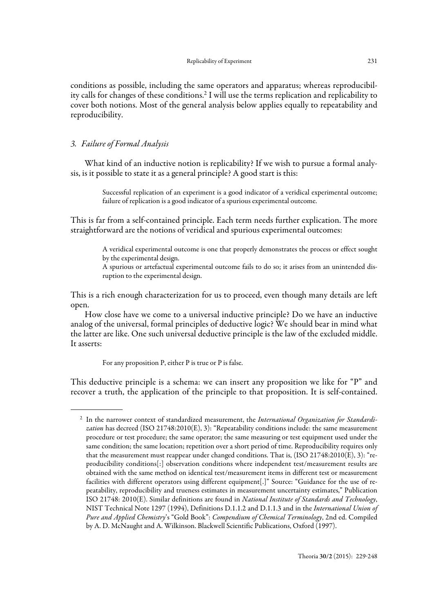conditions as possible, including the same operators and apparatus; whereas reproducibility calls for changes of these conditions.2 I will use the terms replication and replicability to cover both notions. Most of the general analysis below applies equally to repeatability and reproducibility.

# 3. Failure of Formal Analysis

What kind of an inductive notion is replicability? If we wish to pursue a formal analysis, is it possible to state it as a general principle? A good start is this:

> Successful replication of an experiment is a good indicator of a veridical experimental outcome; failure of replication is a good indicator of a spurious experimental outcome.

This is far from a self-contained principle. Each term needs further explication. The more straightforward are the notions of veridical and spurious experimental outcomes:

> A veridical experimental outcome is one that properly demonstrates the process or effect sought by the experimental design.

> A spurious or artefactual experimental outcome fails to do so; it arises from an unintended disruption to the experimental design.

This is a rich enough characterization for us to proceed, even though many details are left open.

How close have we come to a universal inductive principle? Do we have an inductive analog of the universal, formal principles of deductive logic? We should bear in mind what the latter are like. One such universal deductive principle is the law of the excluded middle. It asserts:

For any proposition P, either P is true or P is false.

This deductive principle is a schema: we can insert any proposition we like for "P" and recover a truth, the application of the principle to that proposition. It is self-contained.

<sup>&</sup>lt;sup>2</sup> In the narrower context of standardized measurement, the International Organization for Standardization has decreed (ISO 21748:2010(E), 3): "Repeatability conditions include: the same measurement procedure or test procedure; the same operator; the same measuring or test equipment used under the same condition; the same location; repetition over a short period of time. Reproducibility requires only that the measurement must reappear under changed conditions. That is, (ISO 21748:2010(E), 3): "reproducibility conditions[:] observation conditions where independent test/measurement results are obtained with the same method on identical test/measurement items in different test or measurement facilities with different operators using different equipment[.]" Source: "Guidance for the use of repeatability, reproducibility and trueness estimates in measurement uncertainty estimates," Publication ISO 21748: 2010(E). Similar definitions are found in National Institute of Standards and Technology, NIST Technical Note 1297 (1994), Definitions D.1.1.2 and D.1.1.3 and in the International Union of Pure and Applied Chemistry's "Gold Book": Compendium of Chemical Terminology, 2nd ed. Compiled by A. D. McNaught and A. Wilkinson. Blackwell Scientific Publications, Oxford (1997).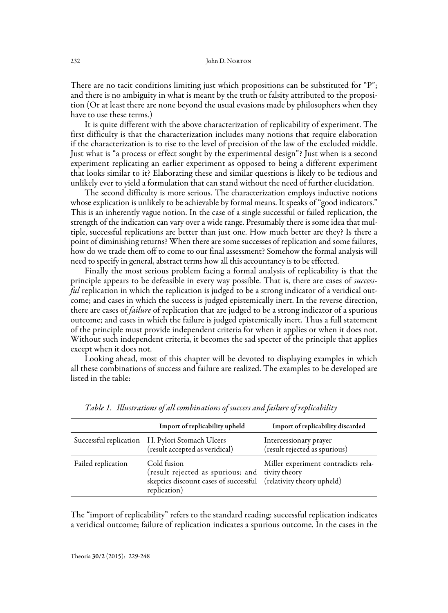There are no tacit conditions limiting just which propositions can be substituted for "P"; and there is no ambiguity in what is meant by the truth or falsity attributed to the proposition (Or at least there are none beyond the usual evasions made by philosophers when they have to use these terms.)

It is quite different with the above characterization of replicability of experiment. The first difficulty is that the characterization includes many notions that require elaboration if the characterization is to rise to the level of precision of the law of the excluded middle. Just what is "a process or effect sought by the experimental design"? Just when is a second experiment replicating an earlier experiment as opposed to being a different experiment that looks similar to it? Elaborating these and similar questions is likely to be tedious and unlikely ever to yield a formulation that can stand without the need of further elucidation.

The second difficulty is more serious. The characterization employs inductive notions whose explication is unlikely to be achievable by formal means. It speaks of "good indicators." This is an inherently vague notion. In the case of a single successful or failed replication, the strength of the indication can vary over a wide range. Presumably there is some idea that multiple, successful replications are better than just one. How much better are they? Is there a point of diminishing returns? When there are some successes of replication and some failures, how do we trade them off to come to our final assessment? Somehow the formal analysis will need to specify in general, abstract terms how all this accountancy is to be effected.

Finally the most serious problem facing a formal analysis of replicability is that the principle appears to be defeasible in every way possible. That is, there are cases of successful replication in which the replication is judged to be a strong indicator of a veridical outcome; and cases in which the success is judged epistemically inert. In the reverse direction, there are cases of *failure* of replication that are judged to be a strong indicator of a spurious outcome; and cases in which the failure is judged epistemically inert. Thus a full statement of the principle must provide independent criteria for when it applies or when it does not. Without such independent criteria, it becomes the sad specter of the principle that applies except when it does not.

Looking ahead, most of this chapter will be devoted to displaying examples in which all these combinations of success and failure are realized. The examples to be developed are listed in the table:

|                    | Import of replicability upheld                                                                                                                     | Import of replicability discarded                       |
|--------------------|----------------------------------------------------------------------------------------------------------------------------------------------------|---------------------------------------------------------|
|                    | Successful replication H. Pylori Stomach Ulcers<br>(result accepted as veridical)                                                                  | Intercessionary prayer<br>(result rejected as spurious) |
| Failed replication | Cold fusion<br>(result rejected as spurious; and tivity theory<br>skeptics discount cases of successful (relativity theory upheld)<br>replication) | Miller experiment contradicts rela-                     |

Table 1. Illustrations of all combinations of success and failure of replicability

The "import of replicability" refers to the standard reading: successful replication indicates a veridical outcome; failure of replication indicates a spurious outcome. In the cases in the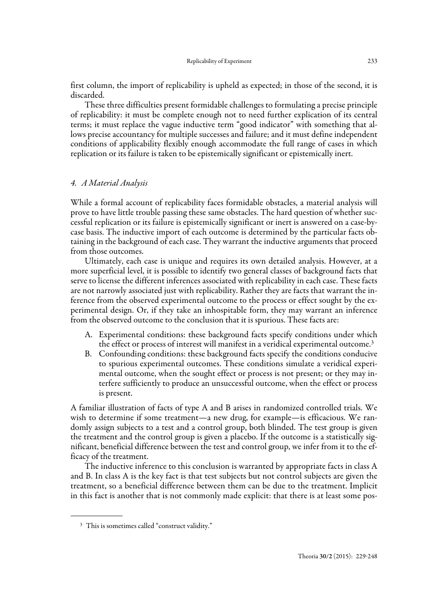first column, the import of replicability is upheld as expected; in those of the second, it is discarded.

These three difficulties present formidable challenges to formulating a precise principle of replicability: it must be complete enough not to need further explication of its central terms; it must replace the vague inductive term "good indicator" with something that allows precise accountancy for multiple successes and failure; and it must define independent conditions of applicability flexibly enough accommodate the full range of cases in which replication or its failure is taken to be epistemically significant or epistemically inert.

## 4. A Material Analysis

While a formal account of replicability faces formidable obstacles, a material analysis will prove to have little trouble passing these same obstacles. The hard question of whether successful replication or its failure is epistemically significant or inert is answered on a case-bycase basis. The inductive import of each outcome is determined by the particular facts obtaining in the background of each case. They warrant the inductive arguments that proceed from those outcomes.

Ultimately, each case is unique and requires its own detailed analysis. However, at a more superficial level, it is possible to identify two general classes of background facts that serve to license the different inferences associated with replicability in each case. These facts are not narrowly associated just with replicability. Rather they are facts that warrant the inference from the observed experimental outcome to the process or effect sought by the experimental design. Or, if they take an inhospitable form, they may warrant an inference from the observed outcome to the conclusion that it is spurious. These facts are:

- A. Experimental conditions: these background facts specify conditions under which the effect or process of interest will manifest in a veridical experimental outcome.<sup>3</sup>
- B. Confounding conditions: these background facts specify the conditions conducive to spurious experimental outcomes. These conditions simulate a veridical experimental outcome, when the sought effect or process is not present; or they may interfere sufficiently to produce an unsuccessful outcome, when the effect or process is present.

A familiar illustration of facts of type A and B arises in randomized controlled trials. We wish to determine if some treatment—a new drug, for example—is efficacious. We randomly assign subjects to a test and a control group, both blinded. The test group is given the treatment and the control group is given a placebo. If the outcome is a statistically significant, beneficial difference between the test and control group, we infer from it to the efficacy of the treatment.

The inductive inference to this conclusion is warranted by appropriate facts in class A and B. In class A is the key fact is that test subjects but not control subjects are given the treatment, so a beneficial difference between them can be due to the treatment. Implicit in this fact is another that is not commonly made explicit: that there is at least some pos-

<sup>&</sup>lt;sup>3</sup> This is sometimes called "construct validity."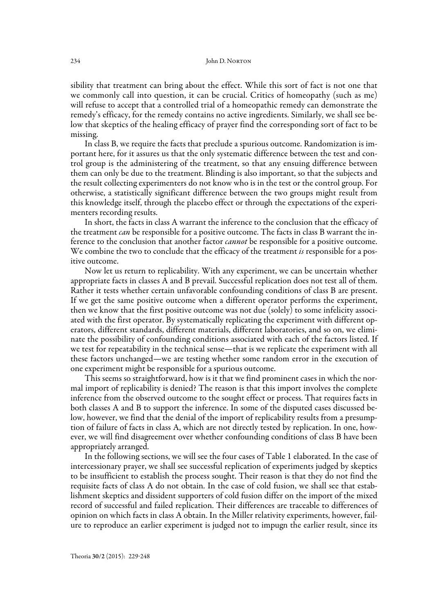sibility that treatment can bring about the effect. While this sort of fact is not one that we commonly call into question, it can be crucial. Critics of homeopathy (such as me) will refuse to accept that a controlled trial of a homeopathic remedy can demonstrate the remedy's efficacy, for the remedy contains no active ingredients. Similarly, we shall see below that skeptics of the healing efficacy of prayer find the corresponding sort of fact to be missing.

In class B, we require the facts that preclude a spurious outcome. Randomization is important here, for it assures us that the only systematic difference between the test and control group is the administering of the treatment, so that any ensuing difference between them can only be due to the treatment. Blinding is also important, so that the subjects and the result collecting experimenters do not know who is in the test or the control group. For otherwise, a statistically significant difference between the two groups might result from this knowledge itself, through the placebo effect or through the expectations of the experimenters recording results.

In short, the facts in class A warrant the inference to the conclusion that the efficacy of the treatment *can* be responsible for a positive outcome. The facts in class B warrant the inference to the conclusion that another factor *cannot* be responsible for a positive outcome. We combine the two to conclude that the efficacy of the treatment is responsible for a positive outcome.

Now let us return to replicability. With any experiment, we can be uncertain whether appropriate facts in classes A and B prevail. Successful replication does not test all of them. Rather it tests whether certain unfavorable confounding conditions of class B are present. If we get the same positive outcome when a different operator performs the experiment, then we know that the first positive outcome was not due (solely) to some infelicity associated with the first operator. By systematically replicating the experiment with different operators, different standards, different materials, different laboratories, and so on, we eliminate the possibility of confounding conditions associated with each of the factors listed. If we test for repeatability in the technical sense—that is we replicate the experiment with all these factors unchanged—we are testing whether some random error in the execution of one experiment might be responsible for a spurious outcome.

This seems so straightforward, how is it that we find prominent cases in which the normal import of replicability is denied? The reason is that this import involves the complete inference from the observed outcome to the sought effect or process. That requires facts in both classes A and B to support the inference. In some of the disputed cases discussed below, however, we find that the denial of the import of replicability results from a presumption of failure of facts in class A, which are not directly tested by replication. In one, however, we will find disagreement over whether confounding conditions of class B have been appropriately arranged.

In the following sections, we will see the four cases of Table 1 elaborated. In the case of intercessionary prayer, we shall see successful replication of experiments judged by skeptics to be insufficient to establish the process sought. Their reason is that they do not find the requisite facts of class A do not obtain. In the case of cold fusion, we shall see that establishment skeptics and dissident supporters of cold fusion differ on the import of the mixed record of successful and failed replication. Their differences are traceable to differences of opinion on which facts in class A obtain. In the Miller relativity experiments, however, failure to reproduce an earlier experiment is judged not to impugn the earlier result, since its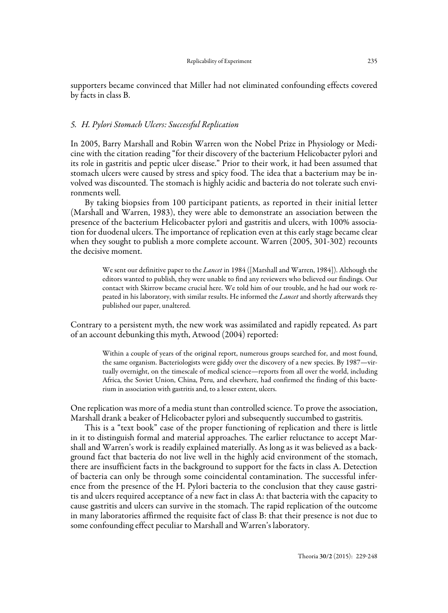supporters became convinced that Miller had not eliminated confounding effects covered by facts in class B.

# 5. H. Pylori Stomach Ulcers: Successful Replication

In 2005, Barry Marshall and Robin Warren won the Nobel Prize in Physiology or Medicine with the citation reading "for their discovery of the bacterium Helicobacter pylori and its role in gastritis and peptic ulcer disease." Prior to their work, it had been assumed that stomach ulcers were caused by stress and spicy food. The idea that a bacterium may be involved was discounted. The stomach is highly acidic and bacteria do not tolerate such environments well.

By taking biopsies from 100 participant patients, as reported in their initial letter (Marshall and Warren, 1983), they were able to demonstrate an association between the presence of the bacterium Helicobacter pylori and gastritis and ulcers, with 100% association for duodenal ulcers. The importance of replication even at this early stage became clear when they sought to publish a more complete account. Warren (2005, 301-302) recounts the decisive moment.

> We sent our definitive paper to the *Lancet* in 1984 ([Marshall and Warren, 1984]). Although the editors wanted to publish, they were unable to find any reviewers who believed our findings. Our contact with Skirrow became crucial here. We told him of our trouble, and he had our work repeated in his laboratory, with similar results. He informed the *Lancet* and shortly afterwards they published our paper, unaltered.

Contrary to a persistent myth, the new work was assimilated and rapidly repeated. As part of an account debunking this myth, Atwood (2004) reported:

> Within a couple of years of the original report, numerous groups searched for, and most found, the same organism. Bacteriologists were giddy over the discovery of a new species. By 1987—virtually overnight, on the timescale of medical science—reports from all over the world, including Africa, the Soviet Union, China, Peru, and elsewhere, had confirmed the finding of this bacterium in association with gastritis and, to a lesser extent, ulcers.

One replication was more of a media stunt than controlled science. To prove the association, Marshall drank a beaker of Helicobacter pylori and subsequently succumbed to gastritis.

This is a "text book" case of the proper functioning of replication and there is little in it to distinguish formal and material approaches. The earlier reluctance to accept Marshall and Warren's work is readily explained materially. As long as it was believed as a background fact that bacteria do not live well in the highly acid environment of the stomach, there are insufficient facts in the background to support for the facts in class A. Detection of bacteria can only be through some coincidental contamination. The successful inference from the presence of the H. Pylori bacteria to the conclusion that they cause gastritis and ulcers required acceptance of a new fact in class A: that bacteria with the capacity to cause gastritis and ulcers can survive in the stomach. The rapid replication of the outcome in many laboratories affirmed the requisite fact of class B: that their presence is not due to some confounding effect peculiar to Marshall and Warren's laboratory.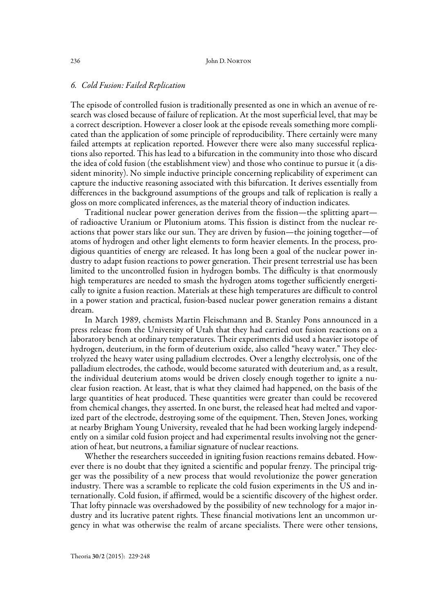#### 6. Cold Fusion: Failed Replication

The episode of controlled fusion is traditionally presented as one in which an avenue of research was closed because of failure of replication. At the most superficial level, that may be a correct description. However a closer look at the episode reveals something more complicated than the application of some principle of reproducibility. There certainly were many failed attempts at replication reported. However there were also many successful replications also reported. This has lead to a bifurcation in the community into those who discard the idea of cold fusion (the establishment view) and those who continue to pursue it (a dissident minority). No simple inductive principle concerning replicability of experiment can capture the inductive reasoning associated with this bifurcation. It derives essentially from differences in the background assumptions of the groups and talk of replication is really a gloss on more complicated inferences, as the material theory of induction indicates.

Traditional nuclear power generation derives from the fission—the splitting apart of radioactive Uranium or Plutonium atoms. This fission is distinct from the nuclear reactions that power stars like our sun. They are driven by fusion—the joining together—of atoms of hydrogen and other light elements to form heavier elements. In the process, prodigious quantities of energy are released. It has long been a goal of the nuclear power industry to adapt fusion reactions to power generation. Their present terrestrial use has been limited to the uncontrolled fusion in hydrogen bombs. The difficulty is that enormously high temperatures are needed to smash the hydrogen atoms together sufficiently energetically to ignite a fusion reaction. Materials at these high temperatures are difficult to control in a power station and practical, fusion-based nuclear power generation remains a distant dream.

In March 1989, chemists Martin Fleischmann and B. Stanley Pons announced in a press release from the University of Utah that they had carried out fusion reactions on a laboratory bench at ordinary temperatures. Their experiments did used a heavier isotope of hydrogen, deuterium, in the form of deuterium oxide, also called "heavy water." They electrolyzed the heavy water using palladium electrodes. Over a lengthy electrolysis, one of the palladium electrodes, the cathode, would become saturated with deuterium and, as a result, the individual deuterium atoms would be driven closely enough together to ignite a nuclear fusion reaction. At least, that is what they claimed had happened, on the basis of the large quantities of heat produced. These quantities were greater than could be recovered from chemical changes, they asserted. In one burst, the released heat had melted and vaporized part of the electrode, destroying some of the equipment. Then, Steven Jones, working at nearby Brigham Young University, revealed that he had been working largely independently on a similar cold fusion project and had experimental results involving not the generation of heat, but neutrons, a familiar signature of nuclear reactions.

Whether the researchers succeeded in igniting fusion reactions remains debated. However there is no doubt that they ignited a scientific and popular frenzy. The principal trigger was the possibility of a new process that would revolutionize the power generation industry. There was a scramble to replicate the cold fusion experiments in the US and internationally. Cold fusion, if affirmed, would be a scientific discovery of the highest order. That lofty pinnacle was overshadowed by the possibility of new technology for a major industry and its lucrative patent rights. These financial motivations lent an uncommon urgency in what was otherwise the realm of arcane specialists. There were other tensions,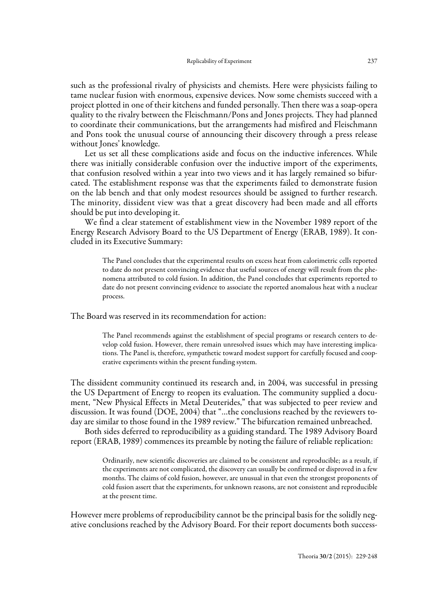such as the professional rivalry of physicists and chemists. Here were physicists failing to tame nuclear fusion with enormous, expensive devices. Now some chemists succeed with a project plotted in one of their kitchens and funded personally. Then there was a soap-opera quality to the rivalry between the Fleischmann/Pons and Jones projects. They had planned to coordinate their communications, but the arrangements had misfired and Fleischmann and Pons took the unusual course of announcing their discovery through a press release without Jones' knowledge.

Let us set all these complications aside and focus on the inductive inferences. While there was initially considerable confusion over the inductive import of the experiments, that confusion resolved within a year into two views and it has largely remained so bifurcated. The establishment response was that the experiments failed to demonstrate fusion on the lab bench and that only modest resources should be assigned to further research. The minority, dissident view was that a great discovery had been made and all efforts should be put into developing it.

We find a clear statement of establishment view in the November 1989 report of the Energy Research Advisory Board to the US Department of Energy (ERAB, 1989). It concluded in its Executive Summary:

> The Panel concludes that the experimental results on excess heat from calorimetric cells reported to date do not present convincing evidence that useful sources of energy will result from the phenomena attributed to cold fusion. In addition, the Panel concludes that experiments reported to date do not present convincing evidence to associate the reported anomalous heat with a nuclear process.

The Board was reserved in its recommendation for action:

The Panel recommends against the establishment of special programs or research centers to develop cold fusion. However, there remain unresolved issues which may have interesting implications. The Panel is, therefore, sympathetic toward modest support for carefully focused and cooperative experiments within the present funding system.

The dissident community continued its research and, in 2004, was successful in pressing the US Department of Energy to reopen its evaluation. The community supplied a document, "New Physical Effects in Metal Deuterides," that was subjected to peer review and discussion. It was found (DOE, 2004) that "…the conclusions reached by the reviewers today are similar to those found in the 1989 review." The bifurcation remained unbreached.

Both sides deferred to reproducibility as a guiding standard. The 1989 Advisory Board report (ERAB, 1989) commences its preamble by noting the failure of reliable replication:

> Ordinarily, new scientific discoveries are claimed to be consistent and reproducible; as a result, if the experiments are not complicated, the discovery can usually be confirmed or disproved in a few months. The claims of cold fusion, however, are unusual in that even the strongest proponents of cold fusion assert that the experiments, for unknown reasons, are not consistent and reproducible at the present time.

However mere problems of reproducibility cannot be the principal basis for the solidly negative conclusions reached by the Advisory Board. For their report documents both success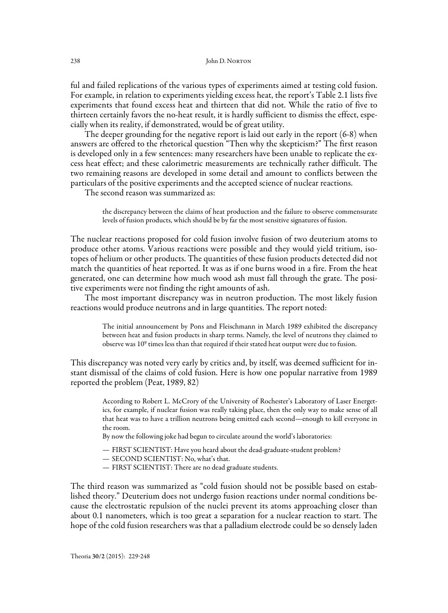ful and failed replications of the various types of experiments aimed at testing cold fusion. For example, in relation to experiments yielding excess heat, the report's Table 2.1 lists five experiments that found excess heat and thirteen that did not. While the ratio of five to thirteen certainly favors the no-heat result, it is hardly sufficient to dismiss the effect, especially when its reality, if demonstrated, would be of great utility.

The deeper grounding for the negative report is laid out early in the report (6-8) when answers are offered to the rhetorical question "Then why the skepticism?" The first reason is developed only in a few sentences: many researchers have been unable to replicate the excess heat effect; and these calorimetric measurements are technically rather difficult. The two remaining reasons are developed in some detail and amount to conflicts between the particulars of the positive experiments and the accepted science of nuclear reactions.

The second reason was summarized as:

the discrepancy between the claims of heat production and the failure to observe commensurate levels of fusion products, which should be by far the most sensitive signatures of fusion.

The nuclear reactions proposed for cold fusion involve fusion of two deuterium atoms to produce other atoms. Various reactions were possible and they would yield tritium, isotopes of helium or other products. The quantities of these fusion products detected did not match the quantities of heat reported. It was as if one burns wood in a fire. From the heat generated, one can determine how much wood ash must fall through the grate. The positive experiments were not finding the right amounts of ash.

The most important discrepancy was in neutron production. The most likely fusion reactions would produce neutrons and in large quantities. The report noted:

> The initial announcement by Pons and Fleischmann in March 1989 exhibited the discrepancy between heat and fusion products in sharp terms. Namely, the level of neutrons they claimed to observe was 109 times less than that required if their stated heat output were due to fusion.

This discrepancy was noted very early by critics and, by itself, was deemed sufficient for instant dismissal of the claims of cold fusion. Here is how one popular narrative from 1989 reported the problem (Peat, 1989, 82)

> According to Robert L. McCrory of the University of Rochester's Laboratory of Laser Energetics, for example, if nuclear fusion was really taking place, then the only way to make sense of all that heat was to have a trillion neutrons being emitted each second—enough to kill everyone in the room.

By now the following joke had begun to circulate around the world's laboratories:

- FIRST SCIENTIST: Have you heard about the dead-graduate-student problem?
- SECOND SCIENTIST: No, what's that.
- FIRST SCIENTIST: There are no dead graduate students.

The third reason was summarized as "cold fusion should not be possible based on established theory." Deuterium does not undergo fusion reactions under normal conditions because the electrostatic repulsion of the nuclei prevent its atoms approaching closer than about 0.1 nanometers, which is too great a separation for a nuclear reaction to start. The hope of the cold fusion researchers was that a palladium electrode could be so densely laden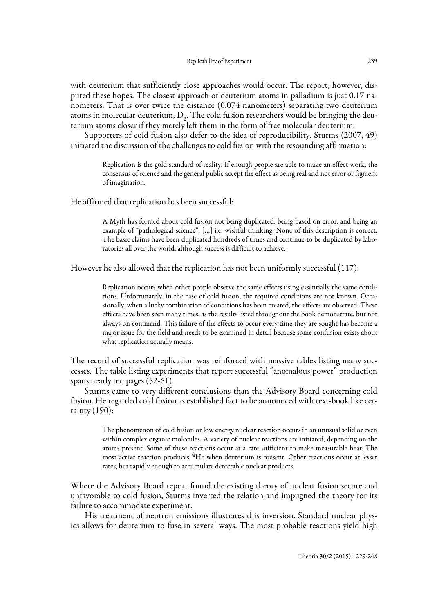with deuterium that sufficiently close approaches would occur. The report, however, disputed these hopes. The closest approach of deuterium atoms in palladium is just 0.17 nanometers. That is over twice the distance (0.074 nanometers) separating two deuterium atoms in molecular deuterium,  $D<sub>2</sub>$ . The cold fusion researchers would be bringing the deuterium atoms closer if they merely left them in the form of free molecular deuterium.

Supporters of cold fusion also defer to the idea of reproducibility. Sturms (2007, 49) initiated the discussion of the challenges to cold fusion with the resounding affirmation:

> Replication is the gold standard of reality. If enough people are able to make an effect work, the consensus of science and the general public accept the effect as being real and not error or figment of imagination.

He affirmed that replication has been successful:

A Myth has formed about cold fusion not being duplicated, being based on error, and being an example of "pathological science", […] i.e. wishful thinking. None of this description is correct. The basic claims have been duplicated hundreds of times and continue to be duplicated by laboratories all over the world, although success is difficult to achieve.

However he also allowed that the replication has not been uniformly successful (117):

Replication occurs when other people observe the same effects using essentially the same conditions. Unfortunately, in the case of cold fusion, the required conditions are not known. Occasionally, when a lucky combination of conditions has been created, the effects are observed. These effects have been seen many times, as the results listed throughout the book demonstrate, but not always on command. This failure of the effects to occur every time they are sought has become a major issue for the field and needs to be examined in detail because some confusion exists about what replication actually means.

The record of successful replication was reinforced with massive tables listing many successes. The table listing experiments that report successful "anomalous power" production spans nearly ten pages (52-61).

Sturms came to very different conclusions than the Advisory Board concerning cold fusion. He regarded cold fusion as established fact to be announced with text-book like certainty (190):

> The phenomenon of cold fusion or low energy nuclear reaction occurs in an unusual solid or even within complex organic molecules. A variety of nuclear reactions are initiated, depending on the atoms present. Some of these reactions occur at a rate sufficient to make measurable heat. The most active reaction produces <sup>4</sup>He when deuterium is present. Other reactions occur at lesser rates, but rapidly enough to accumulate detectable nuclear products.

Where the Advisory Board report found the existing theory of nuclear fusion secure and unfavorable to cold fusion, Sturms inverted the relation and impugned the theory for its failure to accommodate experiment.

His treatment of neutron emissions illustrates this inversion. Standard nuclear physics allows for deuterium to fuse in several ways. The most probable reactions yield high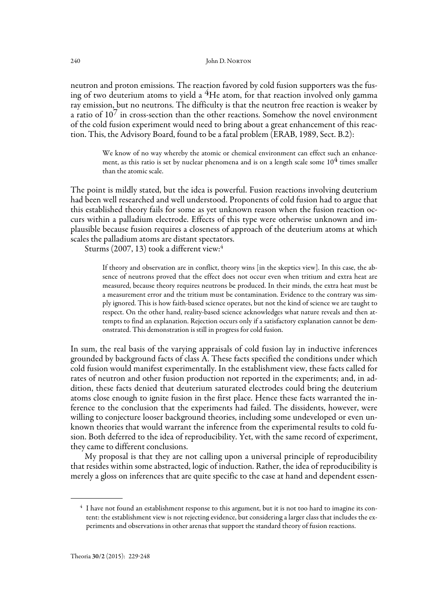neutron and proton emissions. The reaction favored by cold fusion supporters was the fusing of two deuterium atoms to yield a  $4H$ e atom, for that reaction involved only gamma ray emission, but no neutrons. The difficulty is that the neutron free reaction is weaker by a ratio of  $10<sup>7</sup>$  in cross-section than the other reactions. Somehow the novel environment of the cold fusion experiment would need to bring about a great enhancement of this reaction. This, the Advisory Board, found to be a fatal problem (ERAB, 1989, Sect. B.2):

> We know of no way whereby the atomic or chemical environment can effect such an enhancement, as this ratio is set by nuclear phenomena and is on a length scale some  $10<sup>4</sup>$  times smaller than the atomic scale.

The point is mildly stated, but the idea is powerful. Fusion reactions involving deuterium had been well researched and well understood. Proponents of cold fusion had to argue that this established theory fails for some as yet unknown reason when the fusion reaction occurs within a palladium electrode. Effects of this type were otherwise unknown and implausible because fusion requires a closeness of approach of the deuterium atoms at which scales the palladium atoms are distant spectators.

Sturms (2007, 13) took a different view:4

If theory and observation are in conflict, theory wins [in the skeptics view]. In this case, the absence of neutrons proved that the effect does not occur even when tritium and extra heat are measured, because theory requires neutrons be produced. In their minds, the extra heat must be a measurement error and the tritium must be contamination. Evidence to the contrary was simply ignored. This is how faith-based science operates, but not the kind of science we are taught to respect. On the other hand, reality-based science acknowledges what nature reveals and then attempts to find an explanation. Rejection occurs only if a satisfactory explanation cannot be demonstrated. This demonstration is still in progress for cold fusion.

In sum, the real basis of the varying appraisals of cold fusion lay in inductive inferences grounded by background facts of class A. These facts specified the conditions under which cold fusion would manifest experimentally. In the establishment view, these facts called for rates of neutron and other fusion production not reported in the experiments; and, in addition, these facts denied that deuterium saturated electrodes could bring the deuterium atoms close enough to ignite fusion in the first place. Hence these facts warranted the inference to the conclusion that the experiments had failed. The dissidents, however, were willing to conjecture looser background theories, including some undeveloped or even unknown theories that would warrant the inference from the experimental results to cold fusion. Both deferred to the idea of reproducibility. Yet, with the same record of experiment, they came to different conclusions.

My proposal is that they are not calling upon a universal principle of reproducibility that resides within some abstracted, logic of induction. Rather, the idea of reproducibility is merely a gloss on inferences that are quite specific to the case at hand and dependent essen-

<sup>&</sup>lt;sup>4</sup> I have not found an establishment response to this argument, but it is not too hard to imagine its content: the establishment view is not rejecting evidence, but considering a larger class that includes the experiments and observations in other arenas that support the standard theory of fusion reactions.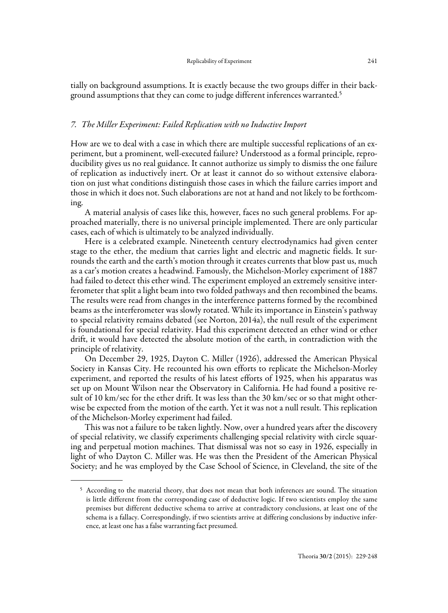tially on background assumptions. It is exactly because the two groups differ in their background assumptions that they can come to judge different inferences warranted.<sup>5</sup>

#### 7. The Miller Experiment: Failed Replication with no Inductive Import

How are we to deal with a case in which there are multiple successful replications of an experiment, but a prominent, well-executed failure? Understood as a formal principle, reproducibility gives us no real guidance. It cannot authorize us simply to dismiss the one failure of replication as inductively inert. Or at least it cannot do so without extensive elaboration on just what conditions distinguish those cases in which the failure carries import and those in which it does not. Such elaborations are not at hand and not likely to be forthcoming.

A material analysis of cases like this, however, faces no such general problems. For approached materially, there is no universal principle implemented. There are only particular cases, each of which is ultimately to be analyzed individually.

Here is a celebrated example. Nineteenth century electrodynamics had given center stage to the ether, the medium that carries light and electric and magnetic fields. It surrounds the earth and the earth's motion through it creates currents that blow past us, much as a car's motion creates a headwind. Famously, the Michelson-Morley experiment of 1887 had failed to detect this ether wind. The experiment employed an extremely sensitive interferometer that split a light beam into two folded pathways and then recombined the beams. The results were read from changes in the interference patterns formed by the recombined beams as the interferometer was slowly rotated. While its importance in Einstein's pathway to special relativity remains debated (see Norton, 2014a), the null result of the experiment is foundational for special relativity. Had this experiment detected an ether wind or ether drift, it would have detected the absolute motion of the earth, in contradiction with the principle of relativity.

On December 29, 1925, Dayton C. Miller (1926), addressed the American Physical Society in Kansas City. He recounted his own efforts to replicate the Michelson-Morley experiment, and reported the results of his latest efforts of 1925, when his apparatus was set up on Mount Wilson near the Observatory in California. He had found a positive result of 10 km/sec for the ether drift. It was less than the 30 km/sec or so that might otherwise be expected from the motion of the earth. Yet it was not a null result. This replication of the Michelson-Morley experiment had failed.

This was not a failure to be taken lightly. Now, over a hundred years after the discovery of special relativity, we classify experiments challenging special relativity with circle squaring and perpetual motion machines. That dismissal was not so easy in 1926, especially in light of who Dayton C. Miller was. He was then the President of the American Physical Society; and he was employed by the Case School of Science, in Cleveland, the site of the

<sup>&</sup>lt;sup>5</sup> According to the material theory, that does not mean that both inferences are sound. The situation is little different from the corresponding case of deductive logic. If two scientists employ the same premises but different deductive schema to arrive at contradictory conclusions, at least one of the schema is a fallacy. Correspondingly, if two scientists arrive at differing conclusions by inductive inference, at least one has a false warranting fact presumed.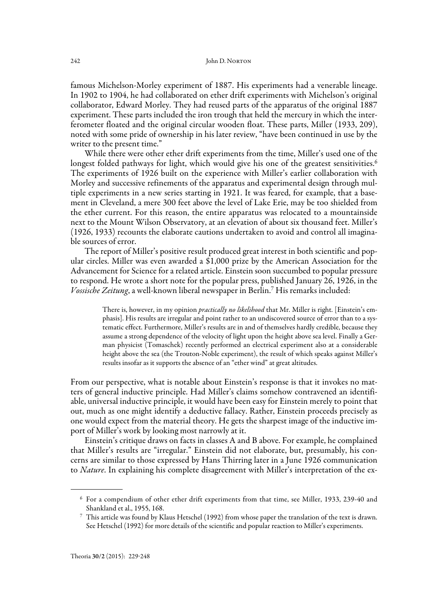famous Michelson-Morley experiment of 1887. His experiments had a venerable lineage. In 1902 to 1904, he had collaborated on ether drift experiments with Michelson's original collaborator, Edward Morley. They had reused parts of the apparatus of the original 1887 experiment. These parts included the iron trough that held the mercury in which the interferometer floated and the original circular wooden float. These parts, Miller (1933, 209), noted with some pride of ownership in his later review, "have been continued in use by the writer to the present time."

While there were other ether drift experiments from the time, Miller's used one of the longest folded pathways for light, which would give his one of the greatest sensitivities.<sup>6</sup> The experiments of 1926 built on the experience with Miller's earlier collaboration with Morley and successive refinements of the apparatus and experimental design through multiple experiments in a new series starting in 1921. It was feared, for example, that a basement in Cleveland, a mere 300 feet above the level of Lake Erie, may be too shielded from the ether current. For this reason, the entire apparatus was relocated to a mountainside next to the Mount Wilson Observatory, at an elevation of about six thousand feet. Miller's (1926, 1933) recounts the elaborate cautions undertaken to avoid and control all imaginable sources of error.

The report of Miller's positive result produced great interest in both scientific and popular circles. Miller was even awarded a \$1,000 prize by the American Association for the Advancement for Science for a related article. Einstein soon succumbed to popular pressure to respond. He wrote a short note for the popular press, published January 26, 1926, in the Vossische Zeitung, a well-known liberal newspaper in Berlin.7 His remarks included:

> There is, however, in my opinion *practically no likelihood* that Mr. Miller is right. [Einstein's emphasis]. His results are irregular and point rather to an undiscovered source of error than to a systematic effect. Furthermore, Miller's results are in and of themselves hardly credible, because they assume a strong dependence of the velocity of light upon the height above sea level. Finally a German physicist (Tomaschek) recently performed an electrical experiment also at a considerable height above the sea (the Trouton-Noble experiment), the result of which speaks against Miller's results insofar as it supports the absence of an "ether wind" at great altitudes.

From our perspective, what is notable about Einstein's response is that it invokes no matters of general inductive principle. Had Miller's claims somehow contravened an identifiable, universal inductive principle, it would have been easy for Einstein merely to point that out, much as one might identify a deductive fallacy. Rather, Einstein proceeds precisely as one would expect from the material theory. He gets the sharpest image of the inductive import of Miller's work by looking most narrowly at it.

Einstein's critique draws on facts in classes A and B above. For example, he complained that Miller's results are "irregular." Einstein did not elaborate, but, presumably, his concerns are similar to those expressed by Hans Thirring later in a June 1926 communication to *Nature*. In explaining his complete disagreement with Miller's interpretation of the ex-

<sup>6</sup> For a compendium of other ether drift experiments from that time, see Miller, 1933, 239-40 and Shankland et al., 1955, 168.

<sup>7</sup> This article was found by Klaus Hetschel (1992) from whose paper the translation of the text is drawn. See Hetschel (1992) for more details of the scientific and popular reaction to Miller's experiments.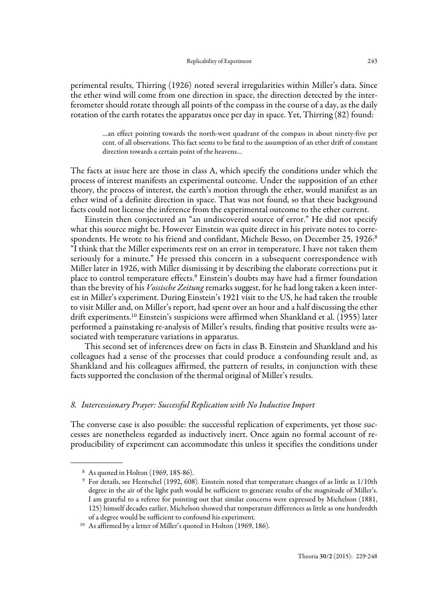perimental results, Thirring (1926) noted several irregularities within Miller's data. Since the ether wind will come from one direction in space, the direction detected by the interferometer should rotate through all points of the compass in the course of a day, as the daily rotation of the earth rotates the apparatus once per day in space. Yet, Thirring (82) found:

> …an effect pointing towards the north-west quadrant of the compass in about ninety-five per cent. of all observations. This fact seems to be fatal to the assumption of an ether drift of constant direction towards a certain point of the heavens…

The facts at issue here are those in class A, which specify the conditions under which the process of interest manifests an experimental outcome. Under the supposition of an ether theory, the process of interest, the earth's motion through the ether, would manifest as an ether wind of a definite direction in space. That was not found, so that these background facts could not license the inference from the experimental outcome to the ether current.

Einstein then conjectured an "an undiscovered source of error." He did not specify what this source might be. However Einstein was quite direct in his private notes to correspondents. He wrote to his friend and confidant, Michele Besso, on December 25, 1926:<sup>8</sup> "I think that the Miller experiments rest on an error in temperature. I have not taken them seriously for a minute." He pressed this concern in a subsequent correspondence with Miller later in 1926, with Miller dismissing it by describing the elaborate corrections put it place to control temperature effects.9 Einstein's doubts may have had a firmer foundation than the brevity of his Vossische Zeitung remarks suggest, for he had long taken a keen interest in Miller's experiment. During Einstein's 1921 visit to the US, he had taken the trouble to visit Miller and, on Miller's report, had spent over an hour and a half discussing the ether drift experiments.10 Einstein's suspicions were affirmed when Shankland et al. (1955) later performed a painstaking re-analysis of Miller's results, finding that positive results were associated with temperature variations in apparatus.

This second set of inferences drew on facts in class B. Einstein and Shankland and his colleagues had a sense of the processes that could produce a confounding result and, as Shankland and his colleagues affirmed, the pattern of results, in conjunction with these facts supported the conclusion of the thermal original of Miller's results.

## 8. Intercessionary Prayer: Successful Replication with No Inductive Import

The converse case is also possible: the successful replication of experiments, yet those successes are nonetheless regarded as inductively inert. Once again no formal account of reproducibility of experiment can accommodate this unless it specifies the conditions under

 <sup>8</sup> As quoted in Holton (1969, 185-86).

 <sup>9</sup> For details, see Hentschel (1992, 608). Einstein noted that temperature changes of as little as 1/10th degree in the air of the light path would be sufficient to generate results of the magnitude of Miller's. I am grateful to a referee for pointing out that similar concerns were expressed by Michelson (1881, 125) himself decades earlier. Michelson showed that temperature differences as little as one hundredth of a degree would be sufficient to confound his experiment.

<sup>10</sup> As affirmed by a letter of Miller's quoted in Holton (1969, 186).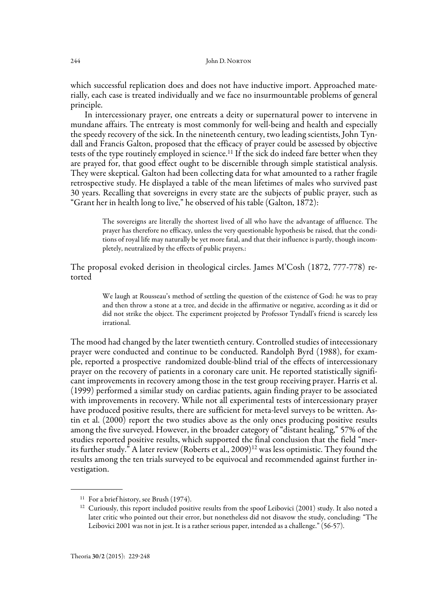which successful replication does and does not have inductive import. Approached materially, each case is treated individually and we face no insurmountable problems of general principle.

In intercessionary prayer, one entreats a deity or supernatural power to intervene in mundane affairs. The entreaty is most commonly for well-being and health and especially the speedy recovery of the sick. In the nineteenth century, two leading scientists, John Tyndall and Francis Galton, proposed that the efficacy of prayer could be assessed by objective tests of the type routinely employed in science.<sup>11</sup> If the sick do indeed fare better when they are prayed for, that good effect ought to be discernible through simple statistical analysis. They were skeptical. Galton had been collecting data for what amounted to a rather fragile retrospective study. He displayed a table of the mean lifetimes of males who survived past 30 years. Recalling that sovereigns in every state are the subjects of public prayer, such as "Grant her in health long to live," he observed of his table (Galton, 1872):

> The sovereigns are literally the shortest lived of all who have the advantage of affluence. The prayer has therefore no efficacy, unless the very questionable hypothesis be raised, that the conditions of royal life may naturally be yet more fatal, and that their influence is partly, though incompletely, neutralized by the effects of public prayers.:

The proposal evoked derision in theological circles. James M'Cosh (1872, 777-778) retorted

> We laugh at Rousseau's method of settling the question of the existence of God: he was to pray and then throw a stone at a tree, and decide in the affirmative or negative, according as it did or did not strike the object. The experiment projected by Professor Tyndall's friend is scarcely less irrational.

The mood had changed by the later twentieth century. Controlled studies of intecessionary prayer were conducted and continue to be conducted. Randolph Byrd (1988), for example, reported a prospective randomized double-blind trial of the effects of intercessionary prayer on the recovery of patients in a coronary care unit. He reported statistically significant improvements in recovery among those in the test group receiving prayer. Harris et al. (1999) performed a similar study on cardiac patients, again finding prayer to be associated with improvements in recovery. While not all experimental tests of intercessionary prayer have produced positive results, there are sufficient for meta-level surveys to be written. Astin et al. (2000) report the two studies above as the only ones producing positive results among the five surveyed. However, in the broader category of "distant healing," 57% of the studies reported positive results, which supported the final conclusion that the field "merits further study." A later review (Roberts et al., 2009)<sup>12</sup> was less optimistic. They found the results among the ten trials surveyed to be equivocal and recommended against further investigation.

<sup>&</sup>lt;sup>11</sup> For a brief history, see Brush (1974).

<sup>&</sup>lt;sup>12</sup> Curiously, this report included positive results from the spoof Leibovici (2001) study. It also noted a later critic who pointed out their error, but nonetheless did not disavow the study, concluding: "The Leibovici 2001 was not in jest. It is a rather serious paper, intended as a challenge." (56-57).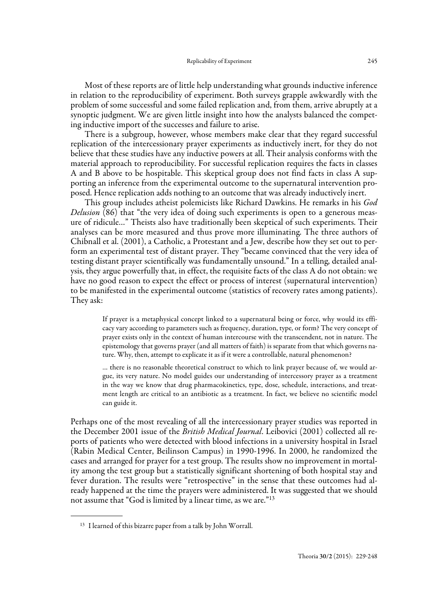Most of these reports are of little help understanding what grounds inductive inference in relation to the reproducibility of experiment. Both surveys grapple awkwardly with the problem of some successful and some failed replication and, from them, arrive abruptly at a synoptic judgment. We are given little insight into how the analysts balanced the competing inductive import of the successes and failure to arise.

There is a subgroup, however, whose members make clear that they regard successful replication of the intercessionary prayer experiments as inductively inert, for they do not believe that these studies have any inductive powers at all. Their analysis conforms with the material approach to reproducibility. For successful replication requires the facts in classes A and B above to be hospitable. This skeptical group does not find facts in class A supporting an inference from the experimental outcome to the supernatural intervention proposed. Hence replication adds nothing to an outcome that was already inductively inert.

This group includes atheist polemicists like Richard Dawkins. He remarks in his God Delusion (86) that "the very idea of doing such experiments is open to a generous measure of ridicule…" Theists also have traditionally been skeptical of such experiments. Their analyses can be more measured and thus prove more illuminating. The three authors of Chibnall et al. (2001), a Catholic, a Protestant and a Jew, describe how they set out to perform an experimental test of distant prayer. They "became convinced that the very idea of testing distant prayer scientifically was fundamentally unsound." In a telling, detailed analysis, they argue powerfully that, in effect, the requisite facts of the class A do not obtain: we have no good reason to expect the effect or process of interest (supernatural intervention) to be manifested in the experimental outcome (statistics of recovery rates among patients). They ask:

> If prayer is a metaphysical concept linked to a supernatural being or force, why would its efficacy vary according to parameters such as frequency, duration, type, or form? The very concept of prayer exists only in the context of human intercourse with the transcendent, not in nature. The epistemology that governs prayer (and all matters of faith) is separate from that which governs nature. Why, then, attempt to explicate it as if it were a controllable, natural phenomenon?

> … there is no reasonable theoretical construct to which to link prayer because of, we would argue, its very nature. No model guides our understanding of intercessory prayer as a treatment in the way we know that drug pharmacokinetics, type, dose, schedule, interactions, and treatment length are critical to an antibiotic as a treatment. In fact, we believe no scientific model can guide it.

Perhaps one of the most revealing of all the intercessionary prayer studies was reported in the December 2001 issue of the *British Medical Journal*. Leibovici (2001) collected all reports of patients who were detected with blood infections in a university hospital in Israel (Rabin Medical Center, Beilinson Campus) in 1990-1996. In 2000, he randomized the cases and arranged for prayer for a test group. The results show no improvement in mortality among the test group but a statistically significant shortening of both hospital stay and fever duration. The results were "retrospective" in the sense that these outcomes had already happened at the time the prayers were administered. It was suggested that we should not assume that "God is limited by a linear time, as we are."13

<sup>13</sup> I learned of this bizarre paper from a talk by John Worrall.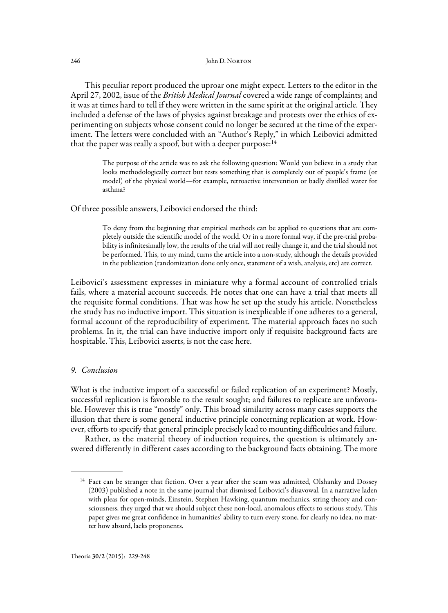This peculiar report produced the uproar one might expect. Letters to the editor in the April 27, 2002, issue of the *British Medical Journal* covered a wide range of complaints; and it was at times hard to tell if they were written in the same spirit at the original article. They included a defense of the laws of physics against breakage and protests over the ethics of experimenting on subjects whose consent could no longer be secured at the time of the experiment. The letters were concluded with an "Author's Reply," in which Leibovici admitted that the paper was really a spoof, but with a deeper purpose: $14$ 

> The purpose of the article was to ask the following question: Would you believe in a study that looks methodologically correct but tests something that is completely out of people's frame (or model) of the physical world—for example, retroactive intervention or badly distilled water for asthma?

Of three possible answers, Leibovici endorsed the third:

To deny from the beginning that empirical methods can be applied to questions that are completely outside the scientific model of the world. Or in a more formal way, if the pre-trial probability is infinitesimally low, the results of the trial will not really change it, and the trial should not be performed. This, to my mind, turns the article into a non-study, although the details provided in the publication (randomization done only once, statement of a wish, analysis, etc) are correct.

Leibovici's assessment expresses in miniature why a formal account of controlled trials fails, where a material account succeeds. He notes that one can have a trial that meets all the requisite formal conditions. That was how he set up the study his article. Nonetheless the study has no inductive import. This situation is inexplicable if one adheres to a general, formal account of the reproducibility of experiment. The material approach faces no such problems. In it, the trial can have inductive import only if requisite background facts are hospitable. This, Leibovici asserts, is not the case here.

# 9. Conclusion

What is the inductive import of a successful or failed replication of an experiment? Mostly, successful replication is favorable to the result sought; and failures to replicate are unfavorable. However this is true "mostly" only. This broad similarity across many cases supports the illusion that there is some general inductive principle concerning replication at work. However, efforts to specify that general principle precisely lead to mounting difficulties and failure.

Rather, as the material theory of induction requires, the question is ultimately answered differently in different cases according to the background facts obtaining. The more

<sup>&</sup>lt;sup>14</sup> Fact can be stranger that fiction. Over a year after the scam was admitted, Olshanky and Dossey (2003) published a note in the same journal that dismissed Leibovici's disavowal. In a narrative laden with pleas for open-minds, Einstein, Stephen Hawking, quantum mechanics, string theory and consciousness, they urged that we should subject these non-local, anomalous effects to serious study. This paper gives me great confidence in humanities' ability to turn every stone, for clearly no idea, no matter how absurd, lacks proponents.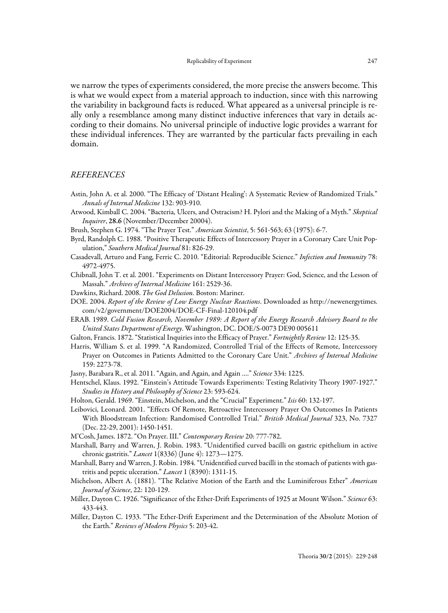we narrow the types of experiments considered, the more precise the answers become. This is what we would expect from a material approach to induction, since with this narrowing the variability in background facts is reduced. What appeared as a universal principle is really only a resemblance among many distinct inductive inferences that vary in details according to their domains. No universal principle of inductive logic provides a warrant for these individual inferences. They are warranted by the particular facts prevailing in each domain.

### REFERENCES

- Astin, John A. et al. 2000. "The Efficacy of 'Distant Healing': A Systematic Review of Randomized Trials." Annals of Internal Medicine 132: 903-910.
- Atwood, Kimball C. 2004. "Bacteria, Ulcers, and Ostracism? H. Pylori and the Making of a Myth." Skeptical Inquirer, 28.6 (November/December 20004).
- Brush, Stephen G. 1974. "The Prayer Test." American Scientist, 5: 561-563; 63 (1975): 6-7.
- Byrd, Randolph C. 1988. "Positive Therapeutic Effects of Intercessory Prayer in a Coronary Care Unit Population," Southern Medical Journal 81: 826-29.
- Casadevall, Arturo and Fang, Ferric C. 2010. "Editorial: Reproducible Science." Infection and Immunity 78: 4972-4975.
- Chibnall, John T. et al. 2001. "Experiments on Distant Intercessory Prayer: God, Science, and the Lesson of Massah." Archives of Internal Medicine 161: 2529-36.
- Dawkins, Richard. 2008. The God Delusion. Boston: Mariner.
- DOE. 2004. Report of the Review of Low Energy Nuclear Reactions. Downloaded as http://newenergytimes. com/v2/government/DOE2004/DOE-CF-Final-120104.pdf
- ERAB. 1989. Cold Fusion Research, November 1989: A Report of the Energy Research Advisory Board to the United States Department of Energy. Washington, DC. DOE/S-0073 DE90 005611
- Galton, Francis. 1872. "Statistical Inquiries into the Efficacy of Prayer." Fortnightly Review 12: 125-35.
- Harris, William S. et al. 1999. "A Randomized, Controlled Trial of the Effects of Remote, Intercessory Prayer on Outcomes in Patients Admitted to the Coronary Care Unit." Archives of Internal Medicine 159: 2273-78.
- Jasny, Barabara R., et al. 2011. "Again, and Again, and Again ...." Science 334: 1225.
- Hentschel, Klaus. 1992. "Einstein's Attitude Towards Experiments: Testing Relativity Theory 1907-1927." Studies in History and Philosophy of Science 23: 593-624.
- Holton, Gerald. 1969. "Einstein, Michelson, and the "Crucial" Experiment." Isis 60: 132-197.
- Leibovici, Leonard. 2001. "Effects Of Remote, Retroactive Intercessory Prayer On Outcomes In Patients With Bloodstream Infection: Randomised Controlled Trial." British Medical Journal 323, No. 7327 (Dec. 22-29, 2001): 1450-1451.
- M'Cosh, James. 1872. "On Prayer. III." Contemporary Review 20: 777-782.
- Marshall, Barry and Warren, J. Robin. 1983. "Unidentified curved bacilli on gastric epithelium in active chronic gastritis." Lancet 1(8336) (June 4): 1273—1275.
- Marshall, Barry and Warren, J. Robin. 1984. "Unidentified curved bacilli in the stomach of patients with gastritis and peptic ulceration." Lancet 1 (8390): 1311-15.
- Michelson, Albert A. (1881). "The Relative Motion of the Earth and the Luminiferous Ether" American Journal of Science, 22: 120-129.
- Miller, Dayton C. 1926. "Significance of the Ether-Drift Experiments of 1925 at Mount Wilson." Science 63: 433-443.
- Miller, Dayton C. 1933. "The Ether-Drift Experiment and the Determination of the Absolute Motion of the Earth." Reviews of Modern Physics 5: 203-42.